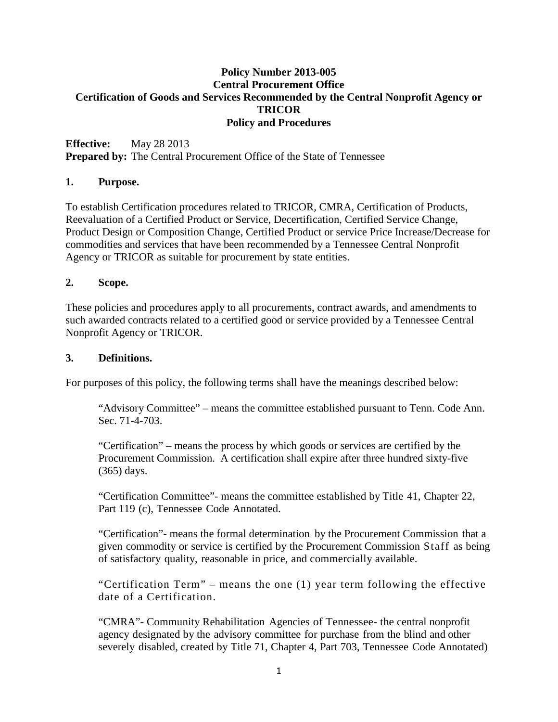## **Policy Number 2013-005 Central Procurement Office Certification of Goods and Services Recommended by the Central Nonprofit Agency or TRICOR Policy and Procedures**

**Effective:** May 28 2013 **Prepared by:** The Central Procurement Office of the State of Tennessee

#### **1. Purpose.**

To establish Certification procedures related to TRICOR, CMRA, Certification of Products, Reevaluation of a Certified Product or Service, Decertification, Certified Service Change, Product Design or Composition Change, Certified Product or service Price Increase/Decrease for commodities and services that have been recommended by a Tennessee Central Nonprofit Agency or TRICOR as suitable for procurement by state entities.

#### **2. Scope.**

These policies and procedures apply to all procurements, contract awards, and amendments to such awarded contracts related to a certified good or service provided by a Tennessee Central Nonprofit Agency or TRICOR.

#### **3. Definitions.**

For purposes of this policy, the following terms shall have the meanings described below:

"Advisory Committee" – means the committee established pursuant to Tenn. Code Ann. Sec. 71-4-703.

"Certification" – means the process by which goods or services are certified by the Procurement Commission. A certification shall expire after three hundred sixty-five (365) days.

"Certification Committee"- means the committee established by Title 41, Chapter 22, Part 119 (c), Tennessee Code Annotated.

"Certification"- means the formal determination by the Procurement Commission that a given commodity or service is certified by the Procurement Commission Staff as being of satisfactory quality, reasonable in price, and commercially available.

"Certification Term" – means the one (1) year term following the effective date of a Certification.

"CMRA"- Community Rehabilitation Agencies of Tennessee- the central nonprofit agency designated by the advisory committee for purchase from the blind and other severely disabled, created by Title 71, Chapter 4, Part 703, Tennessee Code Annotated)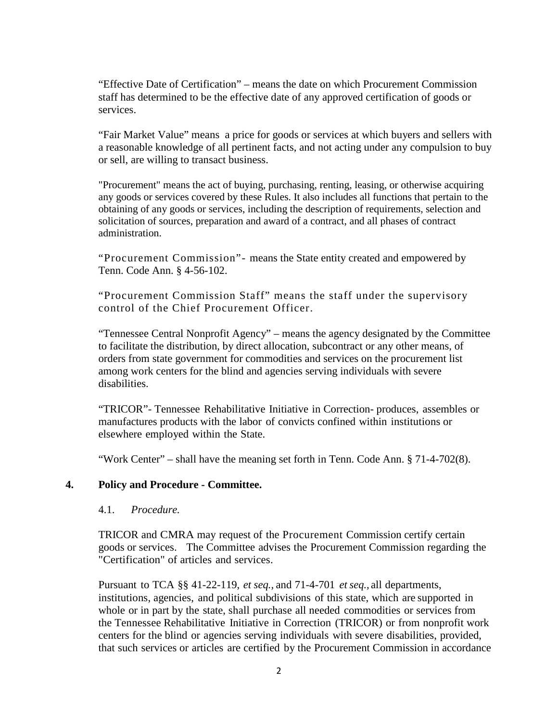"Effective Date of Certification" – means the date on which Procurement Commission staff has determined to be the effective date of any approved certification of goods or services.

"Fair Market Value" means a price for goods or services at which buyers and sellers with a reasonable knowledge of all pertinent facts, and not acting under any compulsion to buy or sell, are willing to transact business.

"Procurement" means the act of buying, purchasing, renting, leasing, or otherwise acquiring any goods or services covered by these Rules. It also includes all functions that pertain to the obtaining of any goods or services, including the description of requirements, selection and solicitation of sources, preparation and award of a contract, and all phases of contract administration.

"Procurement Commission"- means the State entity created and empowered by Tenn. Code Ann. § 4-56-102.

"Procurement Commission Staff" means the staff under the supervisory control of the Chief Procurement Officer.

"Tennessee Central Nonprofit Agency" – means the agency designated by the Committee to facilitate the distribution, by direct allocation, subcontract or any other means, of orders from state government for commodities and services on the procurement list among work centers for the blind and agencies serving individuals with severe disabilities.

"TRICOR"- Tennessee Rehabilitative Initiative in Correction- produces, assembles or manufactures products with the labor of convicts confined within institutions or elsewhere employed within the State.

"Work Center" – shall have the meaning set forth in Tenn. Code Ann. § 71-4-702(8).

### **4. Policy and Procedure - Committee.**

#### 4.1. *Procedure.*

TRICOR and CMRA may request of the Procurement Commission certify certain goods or services. The Committee advises the Procurement Commission regarding the "Certification" of articles and services.

Pursuant to TCA §§ 41-22-119, *et seq.,* and 71-4-701 *et seq.,* all departments, institutions, agencies, and political subdivisions of this state, which are supported in whole or in part by the state, shall purchase all needed commodities or services from the Tennessee Rehabilitative Initiative in Correction (TRICOR) or from nonprofit work centers for the blind or agencies serving individuals with severe disabilities, provided, that such services or articles are certified by the Procurement Commission in accordance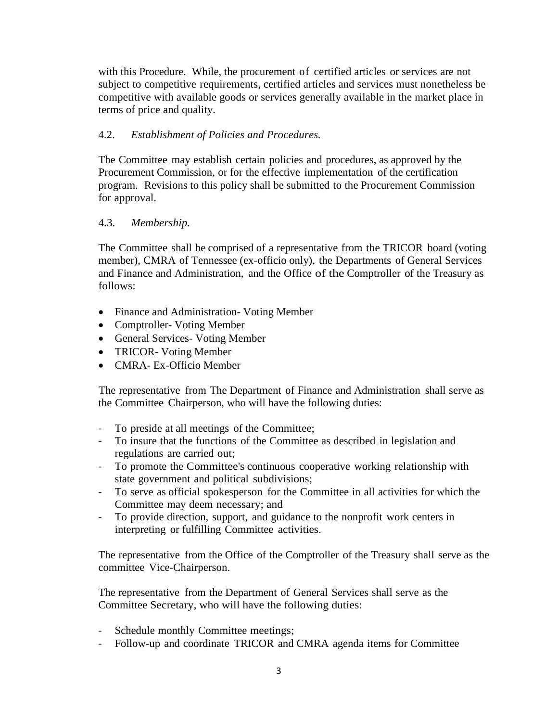with this Procedure. While, the procurement of certified articles or services are not subject to competitive requirements, certified articles and services must nonetheless be competitive with available goods or services generally available in the market place in terms of price and quality.

# 4.2. *Establishment of Policies and Procedures.*

The Committee may establish certain policies and procedures, as approved by the Procurement Commission, or for the effective implementation of the certification program. Revisions to this policy shall be submitted to the Procurement Commission for approval.

# 4.3. *Membership.*

The Committee shall be comprised of a representative from the TRICOR board (voting member), CMRA of Tennessee (ex-officio only), the Departments of General Services and Finance and Administration, and the Office of the Comptroller of the Treasury as follows:

- Finance and Administration- Voting Member
- Comptroller- Voting Member
- General Services- Voting Member
- TRICOR- Voting Member
- CMRA- Ex-Officio Member

The representative from The Department of Finance and Administration shall serve as the Committee Chairperson, who will have the following duties:

- To preside at all meetings of the Committee;
- To insure that the functions of the Committee as described in legislation and regulations are carried out;
- To promote the Committee's continuous cooperative working relationship with state government and political subdivisions;
- To serve as official spokesperson for the Committee in all activities for which the Committee may deem necessary; and
- To provide direction, support, and guidance to the nonprofit work centers in interpreting or fulfilling Committee activities.

The representative from the Office of the Comptroller of the Treasury shall serve as the committee Vice-Chairperson.

The representative from the Department of General Services shall serve as the Committee Secretary, who will have the following duties:

- Schedule monthly Committee meetings;
- Follow-up and coordinate TRICOR and CMRA agenda items for Committee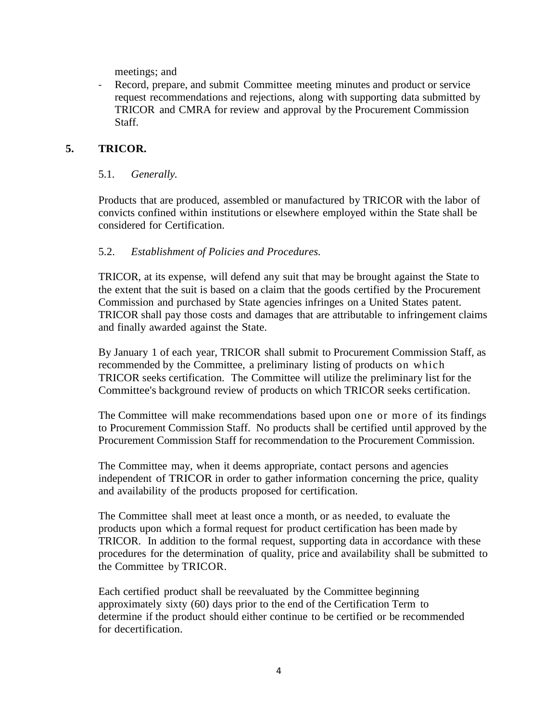meetings; and

- Record, prepare, and submit Committee meeting minutes and product or service request recommendations and rejections, along with supporting data submitted by TRICOR and CMRA for review and approval by the Procurement Commission Staff.

# **5. TRICOR.**

### 5.1. *Generally.*

Products that are produced, assembled or manufactured by TRICOR with the labor of convicts confined within institutions or elsewhere employed within the State shall be considered for Certification.

## 5.2. *Establishment of Policies and Procedures.*

TRICOR, at its expense, will defend any suit that may be brought against the State to the extent that the suit is based on a claim that the goods certified by the Procurement Commission and purchased by State agencies infringes on a United States patent. TRICOR shall pay those costs and damages that are attributable to infringement claims and finally awarded against the State.

By January 1 of each year, TRICOR shall submit to Procurement Commission Staff, as recommended by the Committee, a preliminary listing of products on which TRICOR seeks certification. The Committee will utilize the preliminary list for the Committee's background review of products on which TRICOR seeks certification.

The Committee will make recommendations based upon one or more of its findings to Procurement Commission Staff. No products shall be certified until approved by the Procurement Commission Staff for recommendation to the Procurement Commission.

The Committee may, when it deems appropriate, contact persons and agencies independent of TRICOR in order to gather information concerning the price, quality and availability of the products proposed for certification.

The Committee shall meet at least once a month, or as needed, to evaluate the products upon which a formal request for product certification has been made by TRICOR. In addition to the formal request, supporting data in accordance with these procedures for the determination of quality, price and availability shall be submitted to the Committee by TRICOR.

Each certified product shall be reevaluated by the Committee beginning approximately sixty (60) days prior to the end of the Certification Term to determine if the product should either continue to be certified or be recommended for decertification.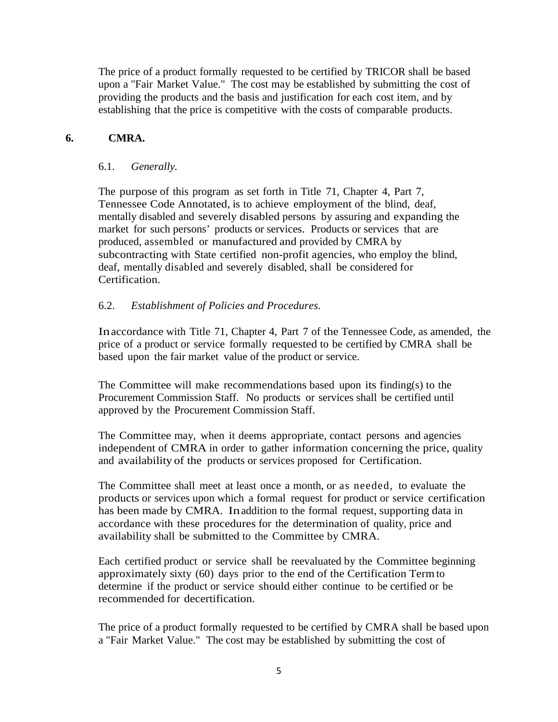The price of a product formally requested to be certified by TRICOR shall be based upon a "Fair Market Value." The cost may be established by submitting the cost of providing the products and the basis and justification for each cost item, and by establishing that the price is competitive with the costs of comparable products.

## **6. CMRA.**

### 6.1. *Generally.*

The purpose of this program as set forth in Title 71, Chapter 4, Part 7, Tennessee Code Annotated, is to achieve employment of the blind, deaf, mentally disabled and severely disabled persons by assuring and expanding the market for such persons' products or services. Products or services that are produced, assembled or manufactured and provided by CMRA by subcontracting with State certified non-profit agencies, who employ the blind, deaf, mentally disabled and severely disabled, shall be considered for Certification.

## 6.2. *Establishment of Policies and Procedures.*

Inaccordance with Title 71, Chapter 4, Part 7 of the Tennessee Code, as amended, the price of a product or service formally requested to be certified by CMRA shall be based upon the fair market value of the product or service.

The Committee will make recommendations based upon its finding(s) to the Procurement Commission Staff. No products or services shall be certified until approved by the Procurement Commission Staff.

The Committee may, when it deems appropriate, contact persons and agencies independent of CMRA in order to gather information concerning the price, quality and availability of the products or services proposed for Certification.

The Committee shall meet at least once a month, or as needed, to evaluate the products or services upon which a formal request for product or service certification has been made by CMRA. In addition to the formal request, supporting data in accordance with these procedures for the determination of quality, price and availability shall be submitted to the Committee by CMRA.

Each certified product or service shall be reevaluated by the Committee beginning approximately sixty (60) days prior to the end of the Certification Termto determine if the product or service should either continue to be certified or be recommended for decertification.

The price of a product formally requested to be certified by CMRA shall be based upon a "Fair Market Value." The cost may be established by submitting the cost of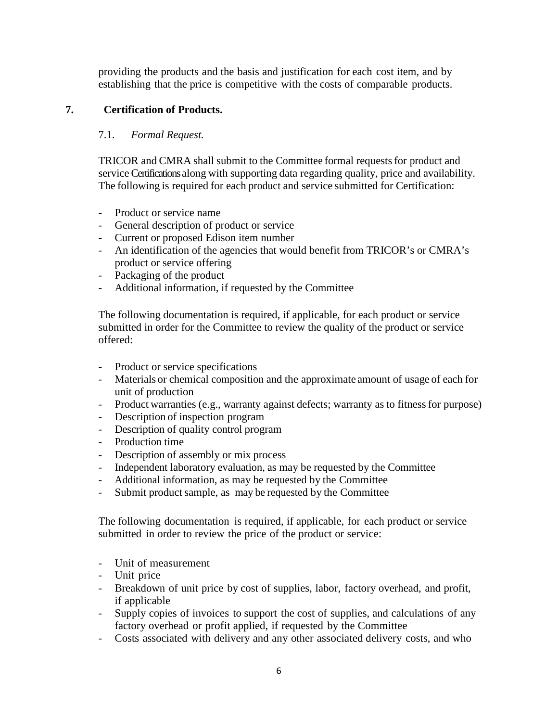providing the products and the basis and justification for each cost item, and by establishing that the price is competitive with the costs of comparable products.

# **7. Certification of Products.**

# 7.1. *Formal Request.*

TRICOR and CMRA shall submit to the Committee formal requestsfor product and service Certifications along with supporting data regarding quality, price and availability. The following is required for each product and service submitted for Certification:

- Product or service name
- General description of product or service
- Current or proposed Edison item number
- An identification of the agencies that would benefit from TRICOR's or CMRA's product or service offering
- Packaging of the product
- Additional information, if requested by the Committee

The following documentation is required, if applicable, for each product or service submitted in order for the Committee to review the quality of the product or service offered:

- Product or service specifications
- Materials or chemical composition and the approximate amount of usage of each for unit of production
- Product warranties (e.g., warranty against defects; warranty as to fitness for purpose)
- Description of inspection program
- Description of quality control program
- Production time
- Description of assembly or mix process
- Independent laboratory evaluation, as may be requested by the Committee
- Additional information, as may be requested by the Committee
- Submit product sample, as may be requested by the Committee

The following documentation is required, if applicable, for each product or service submitted in order to review the price of the product or service:

- Unit of measurement
- Unit price
- Breakdown of unit price by cost of supplies, labor, factory overhead, and profit, if applicable
- Supply copies of invoices to support the cost of supplies, and calculations of any factory overhead or profit applied, if requested by the Committee
- Costs associated with delivery and any other associated delivery costs, and who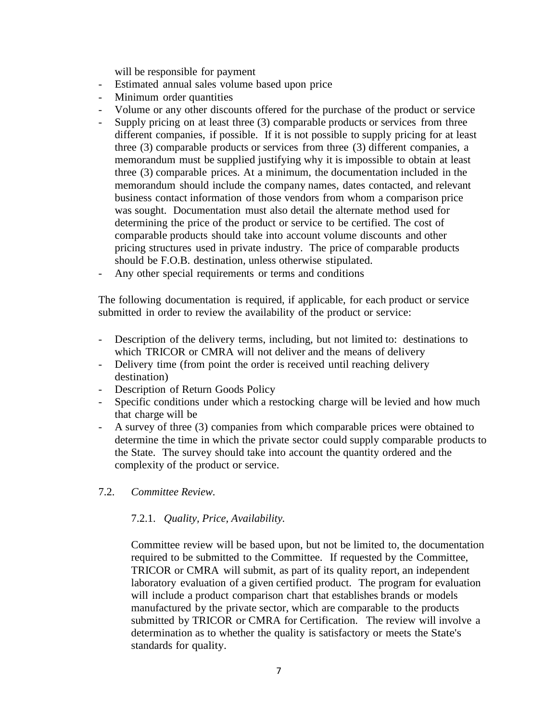will be responsible for payment

- Estimated annual sales volume based upon price
- Minimum order quantities
- Volume or any other discounts offered for the purchase of the product or service
- Supply pricing on at least three (3) comparable products or services from three different companies, if possible. If it is not possible to supply pricing for at least three (3) comparable products or services from three (3) different companies, a memorandum must be supplied justifying why it is impossible to obtain at least three (3) comparable prices. At a minimum, the documentation included in the memorandum should include the company names, dates contacted, and relevant business contact information of those vendors from whom a comparison price was sought. Documentation must also detail the alternate method used for determining the price of the product or service to be certified. The cost of comparable products should take into account volume discounts and other pricing structures used in private industry. The price of comparable products should be F.O.B. destination, unless otherwise stipulated.
- Any other special requirements or terms and conditions

The following documentation is required, if applicable, for each product or service submitted in order to review the availability of the product or service:

- Description of the delivery terms, including, but not limited to: destinations to which TRICOR or CMRA will not deliver and the means of delivery
- Delivery time (from point the order is received until reaching delivery destination)
- Description of Return Goods Policy
- Specific conditions under which a restocking charge will be levied and how much that charge will be
- A survey of three (3) companies from which comparable prices were obtained to determine the time in which the private sector could supply comparable products to the State. The survey should take into account the quantity ordered and the complexity of the product or service.
- 7.2. *Committee Review.*

### 7.2.1. *Quality, Price, Availability.*

Committee review will be based upon, but not be limited to, the documentation required to be submitted to the Committee. If requested by the Committee, TRICOR or CMRA will submit, as part of its quality report, an independent laboratory evaluation of a given certified product. The program for evaluation will include a product comparison chart that establishes brands or models manufactured by the private sector, which are comparable to the products submitted by TRICOR or CMRA for Certification. The review will involve a determination as to whether the quality is satisfactory or meets the State's standards for quality.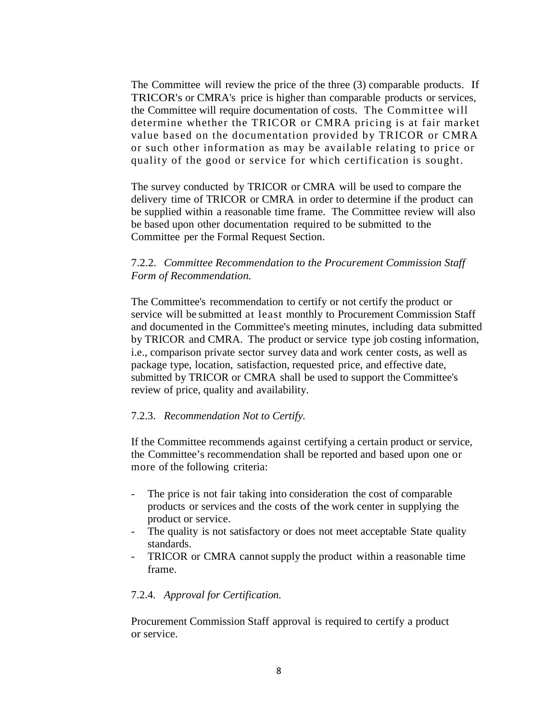The Committee will review the price of the three (3) comparable products. If TRICOR's or CMRA's price is higher than comparable products or services, the Committee will require documentation of costs. The Committee will determine whether the TRICOR or CMRA pricing is at fair market value based on the documentation provided by TRICOR or CMRA or such other information as may be available relating to price or quality of the good or service for which certification is sought.

The survey conducted by TRICOR or CMRA will be used to compare the delivery time of TRICOR or CMRA in order to determine if the product can be supplied within a reasonable time frame. The Committee review will also be based upon other documentation required to be submitted to the Committee per the Formal Request Section.

### 7.2.2. *Committee Recommendation to the Procurement Commission Staff Form of Recommendation.*

The Committee's recommendation to certify or not certify the product or service will be submitted at least monthly to Procurement Commission Staff and documented in the Committee's meeting minutes, including data submitted by TRICOR and CMRA. The product or service type job costing information, i.e., comparison private sector survey data and work center costs, as well as package type, location, satisfaction, requested price, and effective date, submitted by TRICOR or CMRA shall be used to support the Committee's review of price, quality and availability.

#### 7.2.3. *Recommendation Not to Certify.*

If the Committee recommends against certifying a certain product or service, the Committee's recommendation shall be reported and based upon one or more of the following criteria:

- The price is not fair taking into consideration the cost of comparable products or services and the costs of the work center in supplying the product or service.
- The quality is not satisfactory or does not meet acceptable State quality standards.
- TRICOR or CMRA cannot supply the product within a reasonable time frame.

#### 7.2.4. *Approval for Certification.*

Procurement Commission Staff approval is required to certify a product or service.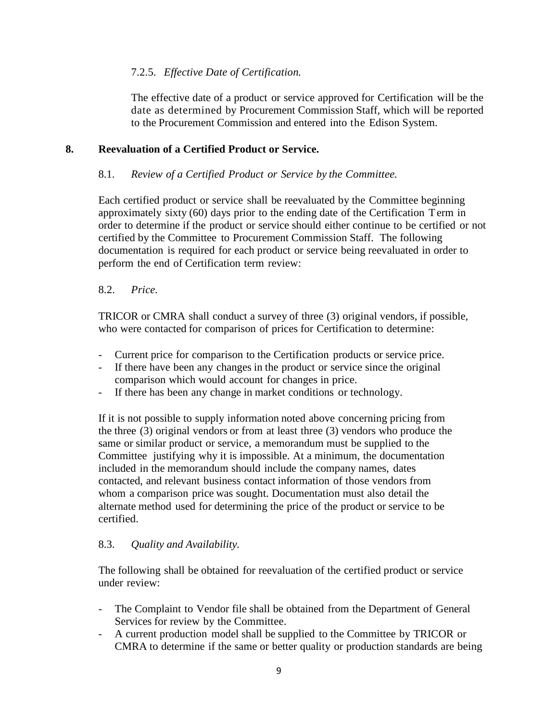# 7.2.5. *Effective Date of Certification.*

The effective date of a product or service approved for Certification will be the date as determined by Procurement Commission Staff, which will be reported to the Procurement Commission and entered into the Edison System.

### **8. Reevaluation of a Certified Product or Service.**

### 8.1. *Review of a Certified Product or Service by the Committee.*

Each certified product or service shall be reevaluated by the Committee beginning approximately sixty (60) days prior to the ending date of the Certification Term in order to determine if the product or service should either continue to be certified or not certified by the Committee to Procurement Commission Staff. The following documentation is required for each product or service being reevaluated in order to perform the end of Certification term review:

### 8.2. *Price.*

TRICOR or CMRA shall conduct a survey of three (3) original vendors, if possible, who were contacted for comparison of prices for Certification to determine:

- Current price for comparison to the Certification products or service price.
- If there have been any changes in the product or service since the original comparison which would account for changes in price.
- If there has been any change in market conditions or technology.

If it is not possible to supply information noted above concerning pricing from the three (3) original vendors or from at least three (3) vendors who produce the same or similar product or service, a memorandum must be supplied to the Committee justifying why it is impossible. At a minimum, the documentation included in the memorandum should include the company names, dates contacted, and relevant business contact information of those vendors from whom a comparison price was sought. Documentation must also detail the alternate method used for determining the price of the product or service to be certified.

### 8.3. *Quality and Availability.*

The following shall be obtained for reevaluation of the certified product or service under review:

- The Complaint to Vendor file shall be obtained from the Department of General Services for review by the Committee.
- A current production model shall be supplied to the Committee by TRICOR or CMRA to determine if the same or better quality or production standards are being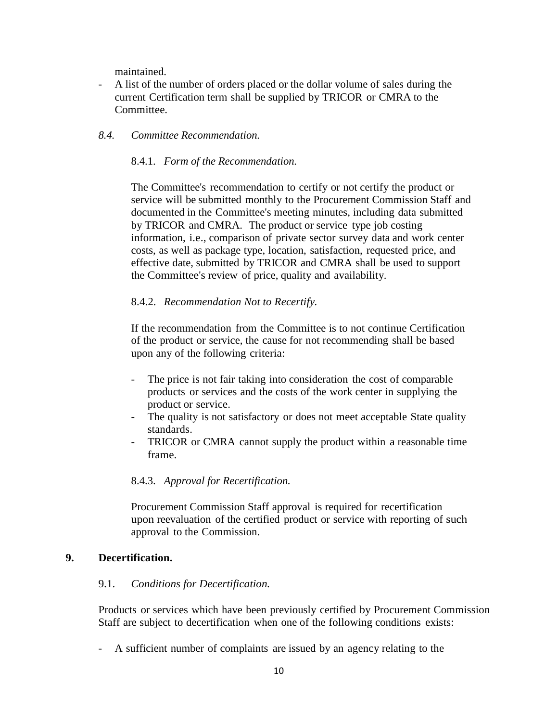maintained.

- A list of the number of orders placed or the dollar volume of sales during the current Certification term shall be supplied by TRICOR or CMRA to the Committee.
- *8.4. Committee Recommendation.*

#### 8.4.1. *Form of the Recommendation.*

The Committee's recommendation to certify or not certify the product or service will be submitted monthly to the Procurement Commission Staff and documented in the Committee's meeting minutes, including data submitted by TRICOR and CMRA. The product or service type job costing information, i.e., comparison of private sector survey data and work center costs, as well as package type, location, satisfaction, requested price, and effective date, submitted by TRICOR and CMRA shall be used to support the Committee's review of price, quality and availability.

#### 8.4.2. *Recommendation Not to Recertify.*

If the recommendation from the Committee is to not continue Certification of the product or service, the cause for not recommending shall be based upon any of the following criteria:

- The price is not fair taking into consideration the cost of comparable products or services and the costs of the work center in supplying the product or service.
- The quality is not satisfactory or does not meet acceptable State quality standards.
- TRICOR or CMRA cannot supply the product within a reasonable time frame.

### 8.4.3. *Approval for Recertification.*

Procurement Commission Staff approval is required for recertification upon reevaluation of the certified product or service with reporting of such approval to the Commission.

#### **9. Decertification.**

#### 9.1. *Conditions for Decertification.*

Products or services which have been previously certified by Procurement Commission Staff are subject to decertification when one of the following conditions exists:

- A sufficient number of complaints are issued by an agency relating to the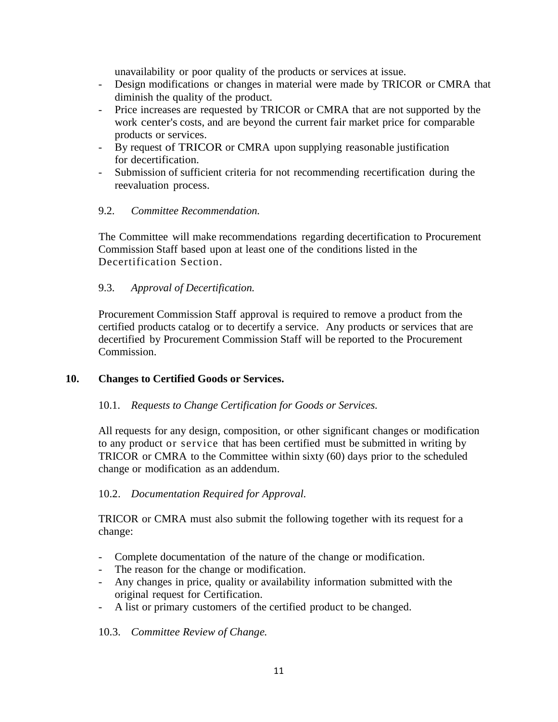unavailability or poor quality of the products or services at issue.

- Design modifications or changes in material were made by TRICOR or CMRA that diminish the quality of the product.
- Price increases are requested by TRICOR or CMRA that are not supported by the work center's costs, and are beyond the current fair market price for comparable products or services.
- By request of TRICOR or CMRA upon supplying reasonable justification for decertification.
- Submission of sufficient criteria for not recommending recertification during the reevaluation process.

# 9.2. *Committee Recommendation.*

The Committee will make recommendations regarding decertification to Procurement Commission Staff based upon at least one of the conditions listed in the Decertification Section.

# 9.3. *Approval of Decertification.*

Procurement Commission Staff approval is required to remove a product from the certified products catalog or to decertify a service. Any products or services that are decertified by Procurement Commission Staff will be reported to the Procurement Commission.

# **10. Changes to Certified Goods or Services.**

### 10.1. *Requests to Change Certification for Goods or Services.*

All requests for any design, composition, or other significant changes or modification to any product or service that has been certified must be submitted in writing by TRICOR or CMRA to the Committee within sixty (60) days prior to the scheduled change or modification as an addendum.

# 10.2. *Documentation Required for Approval.*

TRICOR or CMRA must also submit the following together with its request for a change:

- Complete documentation of the nature of the change or modification.
- The reason for the change or modification.
- Any changes in price, quality or availability information submitted with the original request for Certification.
- A list or primary customers of the certified product to be changed.

### 10.3. *Committee Review of Change.*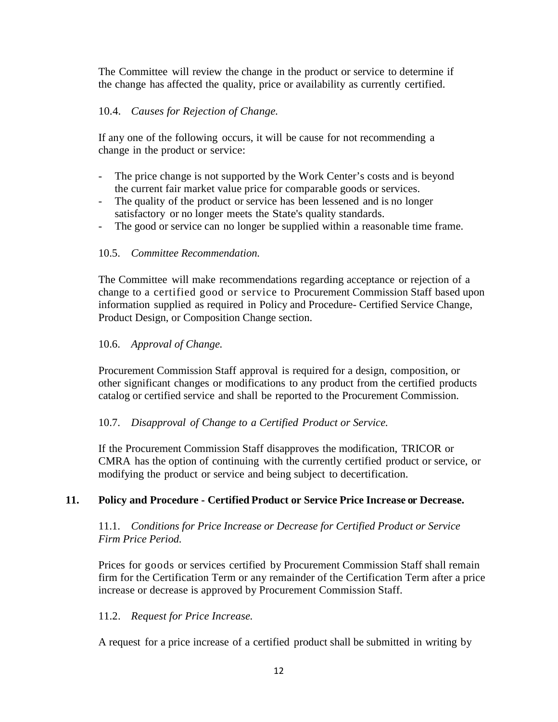The Committee will review the change in the product or service to determine if the change has affected the quality, price or availability as currently certified.

## 10.4. *Causes for Rejection of Change.*

If any one of the following occurs, it will be cause for not recommending a change in the product or service:

- The price change is not supported by the Work Center's costs and is beyond the current fair market value price for comparable goods or services.
- The quality of the product or service has been lessened and is no longer satisfactory or no longer meets the State's quality standards.
- The good or service can no longer be supplied within a reasonable time frame.

## 10.5. *Committee Recommendation.*

The Committee will make recommendations regarding acceptance or rejection of a change to a certified good or service to Procurement Commission Staff based upon information supplied as required in Policy and Procedure- Certified Service Change, Product Design, or Composition Change section.

### 10.6. *Approval of Change.*

Procurement Commission Staff approval is required for a design, composition, or other significant changes or modifications to any product from the certified products catalog or certified service and shall be reported to the Procurement Commission.

### 10.7. *Disapproval of Change to a Certified Product or Service.*

If the Procurement Commission Staff disapproves the modification, TRICOR or CMRA has the option of continuing with the currently certified product or service, or modifying the product or service and being subject to decertification.

### **11. Policy and Procedure - Certified Product or Service Price Increase or Decrease.**

11.1. *Conditions for Price Increase or Decrease for Certified Product or Service Firm Price Period.*

Prices for goods or services certified by Procurement Commission Staff shall remain firm for the Certification Term or any remainder of the Certification Term after a price increase or decrease is approved by Procurement Commission Staff.

### 11.2. *Request for Price Increase.*

A request for a price increase of a certified product shall be submitted in writing by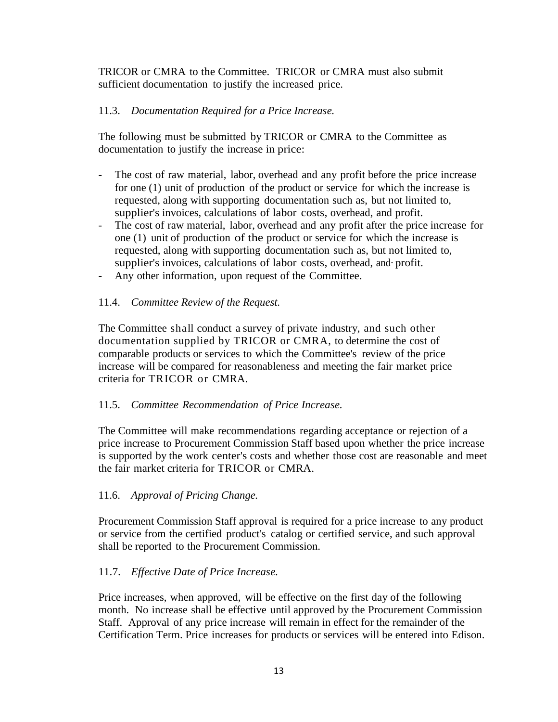TRICOR or CMRA to the Committee. TRICOR or CMRA must also submit sufficient documentation to justify the increased price.

## 11.3. *Documentation Required for a Price Increase.*

The following must be submitted by TRICOR or CMRA to the Committee as documentation to justify the increase in price:

- The cost of raw material, labor, overhead and any profit before the price increase for one (1) unit of production of the product or service for which the increase is requested, along with supporting documentation such as, but not limited to, supplier's invoices, calculations of labor costs, overhead, and profit.
- The cost of raw material, labor, overhead and any profit after the price increase for one (1) unit of production of the product or service for which the increase is requested, along with supporting documentation such as, but not limited to, supplier's invoices, calculations of labor costs, overhead, and·profit.
- Any other information, upon request of the Committee.

### 11.4. *Committee Review of the Request.*

The Committee shall conduct a survey of private industry, and such other documentation supplied by TRICOR or CMRA, to determine the cost of comparable products or services to which the Committee's review of the price increase will be compared for reasonableness and meeting the fair market price criteria for TRICOR or CMRA.

### 11.5. *Committee Recommendation of Price Increase.*

The Committee will make recommendations regarding acceptance or rejection of a price increase to Procurement Commission Staff based upon whether the price increase is supported by the work center's costs and whether those cost are reasonable and meet the fair market criteria for TRICOR or CMRA.

### 11.6. *Approval of Pricing Change.*

Procurement Commission Staff approval is required for a price increase to any product or service from the certified product's catalog or certified service, and such approval shall be reported to the Procurement Commission.

### 11.7. *Effective Date of Price Increase.*

Price increases, when approved, will be effective on the first day of the following month. No increase shall be effective until approved by the Procurement Commission Staff. Approval of any price increase will remain in effect for the remainder of the Certification Term. Price increases for products or services will be entered into Edison.